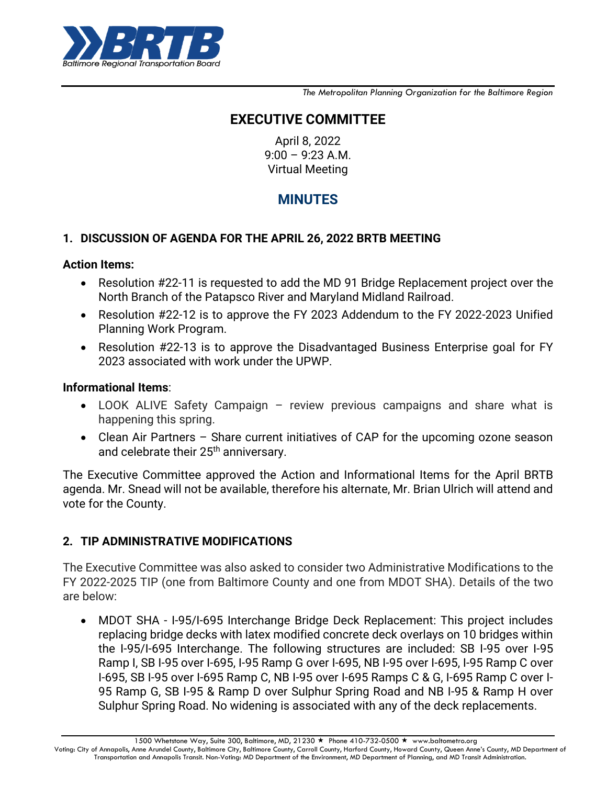

*The Metropolitan Planning Organization for the Baltimore Region*

# **EXECUTIVE COMMITTEE**

April 8, 2022 9:00 – 9:23 A.M. Virtual Meeting

# **MINUTES**

### **1. DISCUSSION OF AGENDA FOR THE APRIL 26, 2022 BRTB MEETING**

#### **Action Items:**

- Resolution #22-11 is requested to add the MD 91 Bridge Replacement project over the North Branch of the Patapsco River and Maryland Midland Railroad.
- Resolution #22-12 is to approve the FY 2023 Addendum to the FY 2022-2023 Unified Planning Work Program.
- Resolution #22-13 is to approve the Disadvantaged Business Enterprise goal for FY 2023 associated with work under the UPWP.

#### **Informational Items**:

- LOOK ALIVE Safety Campaign review previous campaigns and share what is happening this spring.
- Clean Air Partners Share current initiatives of CAP for the upcoming ozone season and celebrate their 25<sup>th</sup> anniversary.

The Executive Committee approved the Action and Informational Items for the April BRTB agenda. Mr. Snead will not be available, therefore his alternate, Mr. Brian Ulrich will attend and vote for the County.

## **2. TIP ADMINISTRATIVE MODIFICATIONS**

The Executive Committee was also asked to consider two Administrative Modifications to the FY 2022-2025 TIP (one from Baltimore County and one from MDOT SHA). Details of the two are below:

 MDOT SHA - I-95/I-695 Interchange Bridge Deck Replacement: This project includes replacing bridge decks with latex modified concrete deck overlays on 10 bridges within the I-95/I-695 Interchange. The following structures are included: SB I-95 over I-95 Ramp I, SB I-95 over I-695, I-95 Ramp G over I-695, NB I-95 over I-695, I-95 Ramp C over I-695, SB I-95 over I-695 Ramp C, NB I-95 over I-695 Ramps C & G, I-695 Ramp C over I-95 Ramp G, SB I-95 & Ramp D over Sulphur Spring Road and NB I-95 & Ramp H over Sulphur Spring Road. No widening is associated with any of the deck replacements.

1500 Whetstone Way, Suite 300, Baltimore, MD, 21230 ★ Phone 410-732-0500 ★ www.baltometro.org Voting: City of Annapolis, Anne Arundel County, Baltimore City, Baltimore County, Carroll County, Harford County, Howard County, Queen Anne's County, MD Department of Transportation and Annapolis Transit. Non-Voting: MD Department of the Environment, MD Department of Planning, and MD Transit Administration.